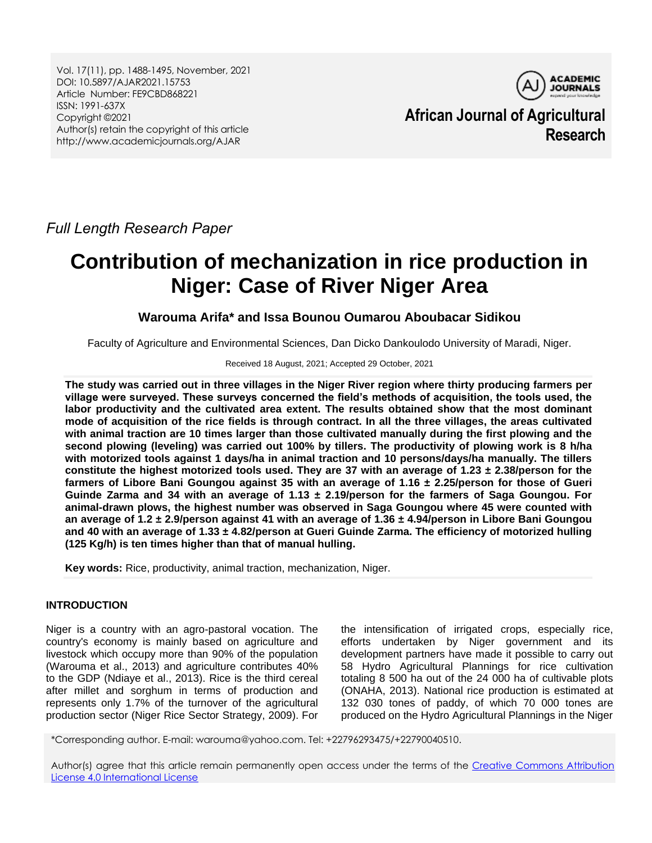Vol. 17(11), pp. 1488-1495, November, 2021 DOI: 10.5897/AJAR2021.15753 Article Number: FE9CBD868221 ISSN: 1991-637X Copyright ©2021 Author(s) retain the copyright of this article http://www.academicjournals.org/AJAR



**African Journal of Agricultural Research**

*Full Length Research Paper*

# **Contribution of mechanization in rice production in Niger: Case of River Niger Area**

# **Warouma Arifa\* and Issa Bounou Oumarou Aboubacar Sidikou**

Faculty of Agriculture and Environmental Sciences, Dan Dicko Dankoulodo University of Maradi, Niger.

## Received 18 August, 2021; Accepted 29 October, 2021

**The study was carried out in three villages in the Niger River region where thirty producing farmers per village were surveyed. These surveys concerned the field's methods of acquisition, the tools used, the labor productivity and the cultivated area extent. The results obtained show that the most dominant mode of acquisition of the rice fields is through contract. In all the three villages, the areas cultivated with animal traction are 10 times larger than those cultivated manually during the first plowing and the second plowing (leveling) was carried out 100% by tillers. The productivity of plowing work is 8 h/ha with motorized tools against 1 days/ha in animal traction and 10 persons/days/ha manually. The tillers constitute the highest motorized tools used. They are 37 with an average of 1.23 ± 2.38/person for the farmers of Libore Bani Goungou against 35 with an average of 1.16 ± 2.25/person for those of Gueri Guinde Zarma and 34 with an average of 1.13 ± 2.19/person for the farmers of Saga Goungou. For animal-drawn plows, the highest number was observed in Saga Goungou where 45 were counted with an average of 1.2 ± 2.9/person against 41 with an average of 1.36 ± 4.94/person in Libore Bani Goungou and 40 with an average of 1.33 ± 4.82/person at Gueri Guinde Zarma. The efficiency of motorized hulling (125 Kg/h) is ten times higher than that of manual hulling.**

**Key words:** Rice, productivity, animal traction, mechanization, Niger.

# **INTRODUCTION**

Niger is a country with an agro-pastoral vocation. The country's economy is mainly based on agriculture and livestock which occupy more than 90% of the population (Warouma et al., 2013) and agriculture contributes 40% to the GDP (Ndiaye et al., 2013). Rice is the third cereal after millet and sorghum in terms of production and represents only 1.7% of the turnover of the agricultural production sector (Niger Rice Sector Strategy, 2009). For

the intensification of irrigated crops, especially rice, efforts undertaken by Niger government and its development partners have made it possible to carry out 58 Hydro Agricultural Plannings for rice cultivation totaling 8 500 ha out of the 24 000 ha of cultivable plots (ONAHA, 2013). National rice production is estimated at 132 030 tones of paddy, of which 70 000 tones are produced on the Hydro Agricultural Plannings in the Niger

\*Corresponding author. E-mail: warouma@yahoo.com. Tel: +22796293475/+22790040510.

Author(s) agree that this article remain permanently open access under the terms of the Creative Commons Attribution [License 4.0 International License](http://creativecommons.org/licenses/by/4.0/deed.en_US)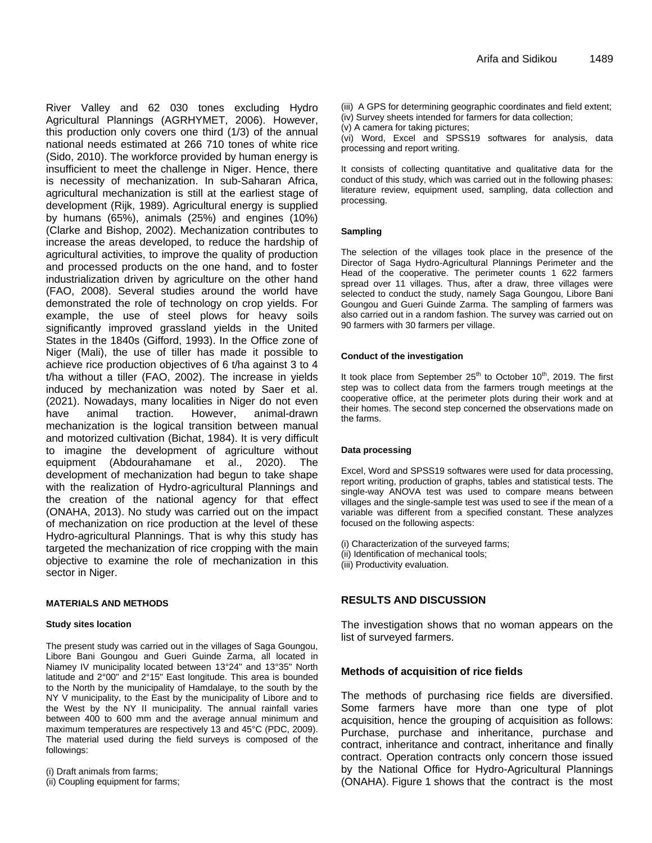River Valley and 62 030 tones excluding Hydro Agricultural Plannings (AGRHYMET, 2006). However, this production only covers one third (1/3) of the annual national needs estimated at 266 710 tones of white rice (Sido, 2010). The workforce provided by human energy is insufficient to meet the challenge in Niger. Hence, there is necessity of mechanization. In sub-Saharan Africa, agricultural mechanization is still at the earliest stage of development (Rijk, 1989). Agricultural energy is supplied by humans (65%), animals (25%) and engines (10%) (Clarke and Bishop, 2002). Mechanization contributes to increase the areas developed, to reduce the hardship of agricultural activities, to improve the quality of production and processed products on the one hand, and to foster industrialization driven by agriculture on the other hand (FAO, 2008). Several studies around the world have demonstrated the role of technology on crop yields. For example, the use of steel plows for heavy soils significantly improved grassland yields in the United States in the 1840s (Gifford, 1993). In the Office zone of Niger (Mali), the use of tiller has made it possible to achieve rice production objectives of 6 t/ha against 3 to 4 t/ha without a tiller (FAO, 2002). The increase in yields induced by mechanization was noted by Saer et al. (2021). Nowadays, many localities in Niger do not even have animal traction. However, animal-drawn mechanization is the logical transition between manual and motorized cultivation (Bichat, 1984). It is very difficult to imagine the development of agriculture without equipment (Abdourahamane et al., 2020). The development of mechanization had begun to take shape with the realization of Hydro-agricultural Plannings and the creation of the national agency for that effect (ONAHA, 2013). No study was carried out on the impact of mechanization on rice production at the level of these Hydro-agricultural Plannings. That is why this study has targeted the mechanization of rice cropping with the main objective to examine the role of mechanization in this sector in Niger.

## **MATERIALS AND METHODS**

#### **Study sites location**

The present study was carried out in the villages of Saga Goungou, Libore Bani Goungou and Gueri Guinde Zarma, all located in Niamey IV municipality located between 13°24" and 13°35" North latitude and 2°00" and 2°15" East longitude. This area is bounded to the North by the municipality of Hamdalaye, to the south by the NY V municipality, to the East by the municipality of Libore and to the West by the NY II municipality. The annual rainfall varies between 400 to 600 mm and the average annual minimum and maximum temperatures are respectively 13 and 45°C (PDC, 2009). The material used during the field surveys is composed of the followings:

(i) Draft animals from farms; (ii) Coupling equipment for farms; (iii) A GPS for determining geographic coordinates and field extent; (iv) Survey sheets intended for farmers for data collection;

(v) A camera for taking pictures;

(vi) Word, Excel and SPSS19 softwares for analysis, data processing and report writing.

It consists of collecting quantitative and qualitative data for the conduct of this study, which was carried out in the following phases: literature review, equipment used, sampling, data collection and processing.

## **Sampling**

The selection of the villages took place in the presence of the Director of Saga Hydro-Agricultural Plannings Perimeter and the Head of the cooperative. The perimeter counts 1 622 farmers spread over 11 villages. Thus, after a draw, three villages were selected to conduct the study, namely Saga Goungou, Libore Bani Goungou and Gueri Guinde Zarma. The sampling of farmers was also carried out in a random fashion. The survey was carried out on 90 farmers with 30 farmers per village.

## **Conduct of the investigation**

It took place from September  $25<sup>th</sup>$  to October 10<sup>th</sup>, 2019. The first step was to collect data from the farmers trough meetings at the cooperative office, at the perimeter plots during their work and at their homes. The second step concerned the observations made on the farms.

## **Data processing**

Excel, Word and SPSS19 softwares were used for data processing, report writing, production of graphs, tables and statistical tests. The single-way ANOVA test was used to compare means between villages and the single-sample test was used to see if the mean of a variable was different from a specified constant. These analyzes focused on the following aspects:

(i) Characterization of the surveyed farms;

(ii) Identification of mechanical tools;

(iii) Productivity evaluation.

# **RESULTS AND DISCUSSION**

The investigation shows that no woman appears on the list of surveyed farmers.

## **Methods of acquisition of rice fields**

The methods of purchasing rice fields are diversified. Some farmers have more than one type of plot acquisition, hence the grouping of acquisition as follows: Purchase, purchase and inheritance, purchase and contract, inheritance and contract, inheritance and finally contract. Operation contracts only concern those issued by the National Office for Hydro-Agricultural Plannings (ONAHA). Figure 1 shows that the contract is the most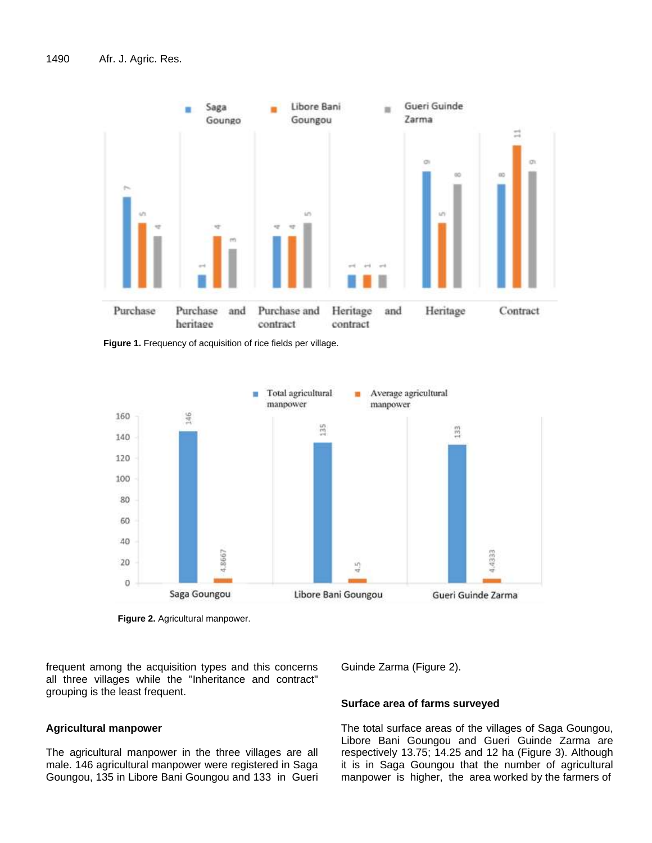

**Figure 1.** Frequency of acquisition of rice fields per village.



**Figure 2.** Agricultural manpower.

frequent among the acquisition types and this concerns all three villages while the "Inheritance and contract" grouping is the least frequent.

# **Agricultural manpower**

The agricultural manpower in the three villages are all male. 146 agricultural manpower were registered in Saga Goungou, 135 in Libore Bani Goungou and 133 in Gueri Guinde Zarma (Figure 2).

## **Surface area of farms surveyed**

The total surface areas of the villages of Saga Goungou, Libore Bani Goungou and Gueri Guinde Zarma are respectively 13.75; 14.25 and 12 ha (Figure 3). Although it is in Saga Goungou that the number of agricultural manpower is higher, the area worked by the farmers of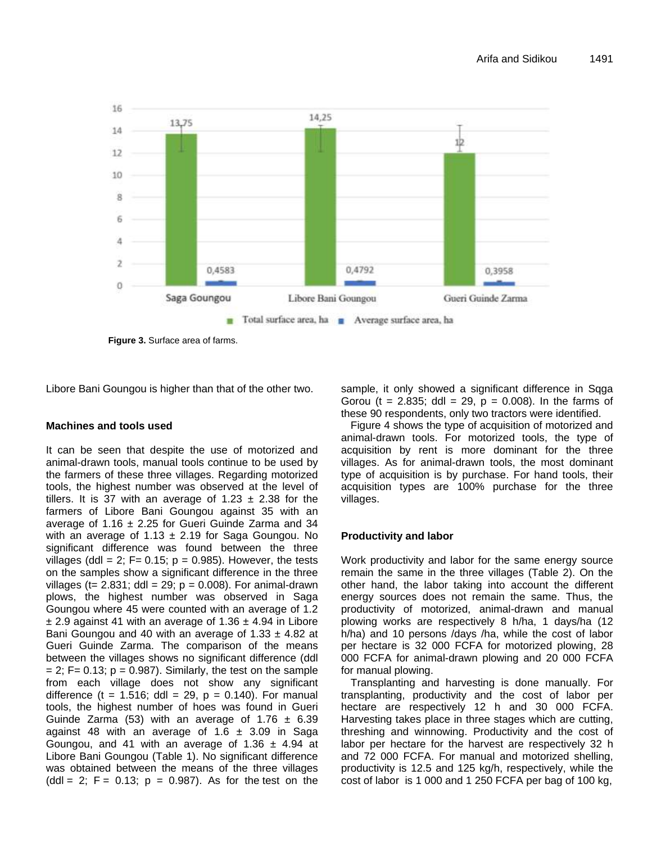

**Figure 3.** Surface area of farms.

Libore Bani Goungou is higher than that of the other two.

# **Machines and tools used**

It can be seen that despite the use of motorized and animal-drawn tools, manual tools continue to be used by the farmers of these three villages. Regarding motorized tools, the highest number was observed at the level of tillers. It is 37 with an average of 1.23  $\pm$  2.38 for the farmers of Libore Bani Goungou against 35 with an average of 1.16  $\pm$  2.25 for Gueri Guinde Zarma and 34 with an average of 1.13  $\pm$  2.19 for Saga Goungou. No significant difference was found between the three villages (ddl = 2;  $F = 0.15$ ;  $p = 0.985$ ). However, the tests on the samples show a significant difference in the three villages (t= 2.831; ddl = 29;  $p = 0.008$ ). For animal-drawn plows, the highest number was observed in Saga Goungou where 45 were counted with an average of 1.2  $\pm$  2.9 against 41 with an average of 1.36  $\pm$  4.94 in Libore Bani Goungou and 40 with an average of  $1.33 \pm 4.82$  at Gueri Guinde Zarma. The comparison of the means between the villages shows no significant difference (ddl  $= 2$ ; F= 0.13; p = 0.987). Similarly, the test on the sample from each village does not show any significant difference (t = 1.516; ddl = 29,  $p = 0.140$ ). For manual tools, the highest number of hoes was found in Gueri Guinde Zarma (53) with an average of  $1.76 \pm 6.39$ against 48 with an average of 1.6  $\pm$  3.09 in Saga Goungou, and 41 with an average of 1.36  $\pm$  4.94 at Libore Bani Goungou (Table 1). No significant difference was obtained between the means of the three villages  $\text{(ddl = 2; F = 0.13; p = 0.987)}$ . As for the test on the sample, it only showed a significant difference in Sqga Gorou (t = 2.835; ddl = 29,  $p = 0.008$ ). In the farms of these 90 respondents, only two tractors were identified.

Figure 4 shows the type of acquisition of motorized and animal-drawn tools. For motorized tools, the type of acquisition by rent is more dominant for the three villages. As for animal-drawn tools, the most dominant type of acquisition is by purchase. For hand tools, their acquisition types are 100% purchase for the three villages.

# **Productivity and labor**

Work productivity and labor for the same energy source remain the same in the three villages (Table 2). On the other hand, the labor taking into account the different energy sources does not remain the same. Thus, the productivity of motorized, animal-drawn and manual plowing works are respectively 8 h/ha, 1 days/ha (12 h/ha) and 10 persons /days /ha, while the cost of labor per hectare is 32 000 FCFA for motorized plowing, 28 000 FCFA for animal-drawn plowing and 20 000 FCFA for manual plowing.

Transplanting and harvesting is done manually. For transplanting, productivity and the cost of labor per hectare are respectively 12 h and 30 000 FCFA. Harvesting takes place in three stages which are cutting, threshing and winnowing. Productivity and the cost of labor per hectare for the harvest are respectively 32 h and 72 000 FCFA. For manual and motorized shelling, productivity is 12.5 and 125 kg/h, respectively, while the cost of labor is 1 000 and 1 250 FCFA per bag of 100 kg,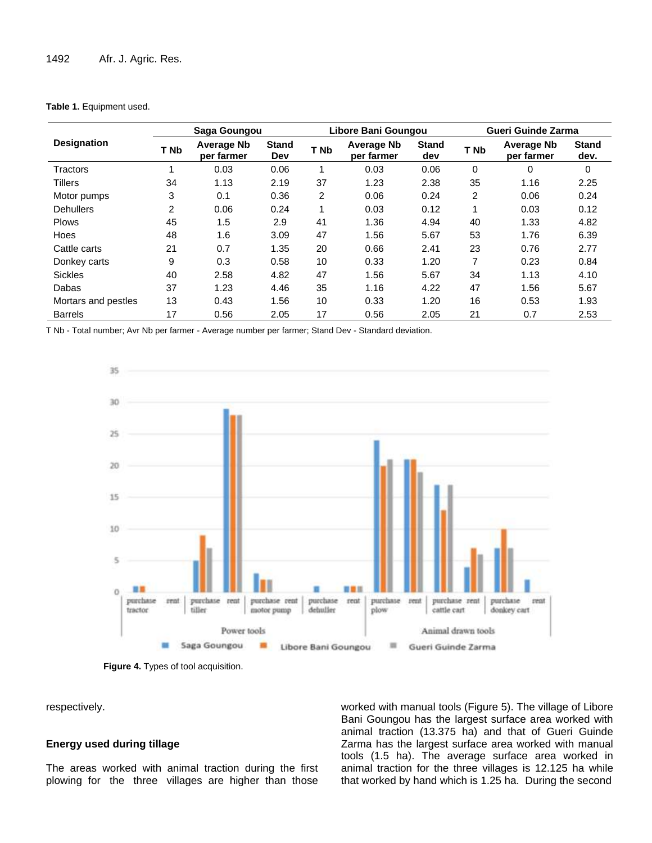## **Table 1.** Equipment used.

|                     | Saga Goungou   |                                 |                     | Libore Bani Goungou |                                 |                     | <b>Gueri Guinde Zarma</b> |                                 |                      |
|---------------------|----------------|---------------------------------|---------------------|---------------------|---------------------------------|---------------------|---------------------------|---------------------------------|----------------------|
| <b>Designation</b>  | T Nb           | <b>Average Nb</b><br>per farmer | <b>Stand</b><br>Dev | T Nb                | <b>Average Nb</b><br>per farmer | <b>Stand</b><br>dev | T <sub>Nb</sub>           | <b>Average Nb</b><br>per farmer | <b>Stand</b><br>dev. |
| Tractors            | 1              | 0.03                            | 0.06                | 1                   | 0.03                            | 0.06                | 0                         | $\Omega$                        | 0                    |
| <b>Tillers</b>      | 34             | 1.13                            | 2.19                | 37                  | 1.23                            | 2.38                | 35                        | 1.16                            | 2.25                 |
| Motor pumps         | 3              | 0.1                             | 0.36                | 2                   | 0.06                            | 0.24                | 2                         | 0.06                            | 0.24                 |
| <b>Dehullers</b>    | $\overline{2}$ | 0.06                            | 0.24                | 1                   | 0.03                            | 0.12                | 1                         | 0.03                            | 0.12                 |
| <b>Plows</b>        | 45             | 1.5                             | 2.9                 | 41                  | 1.36                            | 4.94                | 40                        | 1.33                            | 4.82                 |
| Hoes                | 48             | 1.6                             | 3.09                | 47                  | 1.56                            | 5.67                | 53                        | 1.76                            | 6.39                 |
| Cattle carts        | 21             | 0.7                             | 1.35                | 20                  | 0.66                            | 2.41                | 23                        | 0.76                            | 2.77                 |
| Donkey carts        | 9              | 0.3                             | 0.58                | 10                  | 0.33                            | 1.20                | 7                         | 0.23                            | 0.84                 |
| <b>Sickles</b>      | 40             | 2.58                            | 4.82                | 47                  | 1.56                            | 5.67                | 34                        | 1.13                            | 4.10                 |
| Dabas               | 37             | 1.23                            | 4.46                | 35                  | 1.16                            | 4.22                | 47                        | 1.56                            | 5.67                 |
| Mortars and pestles | 13             | 0.43                            | 1.56                | 10                  | 0.33                            | 1.20                | 16                        | 0.53                            | 1.93                 |
| <b>Barrels</b>      | 17             | 0.56                            | 2.05                | 17                  | 0.56                            | 2.05                | 21                        | 0.7                             | 2.53                 |

T Nb - Total number; Avr Nb per farmer - Average number per farmer; Stand Dev - Standard deviation.





respectively.

# **Energy used during tillage**

The areas worked with animal traction during the first plowing for the three villages are higher than those worked with manual tools (Figure 5). The village of Libore Bani Goungou has the largest surface area worked with animal traction (13.375 ha) and that of Gueri Guinde Zarma has the largest surface area worked with manual tools (1.5 ha). The average surface area worked in animal traction for the three villages is 12.125 ha while that worked by hand which is 1.25 ha. During the second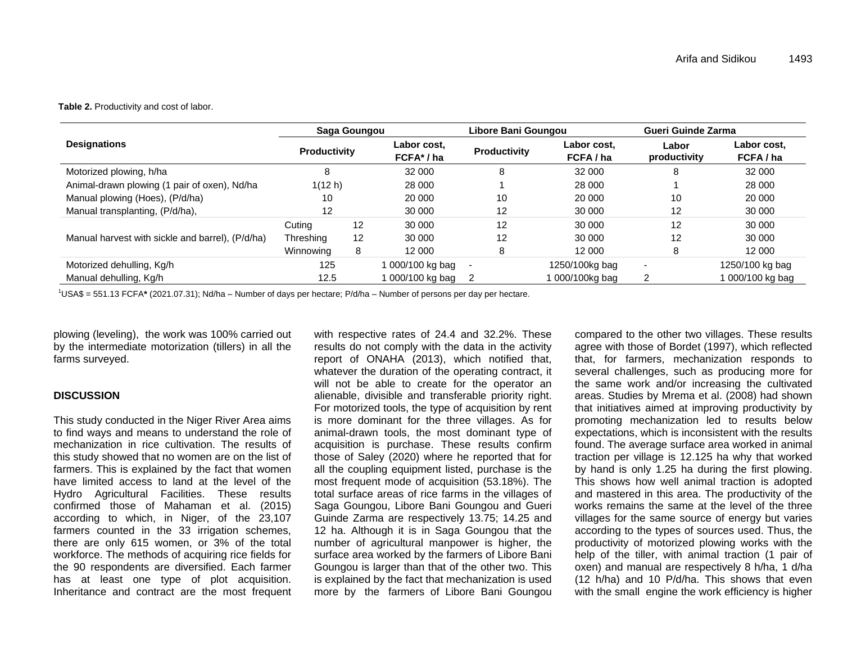#### **Table 2.** Productivity and cost of labor.

|                                                  | Saga Goungou        |    |                         | Libore Bani Goungou |                        | Gueri Guinde Zarma    |                        |
|--------------------------------------------------|---------------------|----|-------------------------|---------------------|------------------------|-----------------------|------------------------|
| <b>Designations</b>                              | <b>Productivity</b> |    | Labor cost.<br>FCFA*/ha | <b>Productivity</b> | Labor cost.<br>FCFA/ha | Labor<br>productivity | Labor cost.<br>FCFA/ha |
| Motorized plowing, h/ha                          | 8                   |    | 32 000                  | 8                   | 32 000                 | 8                     | 32 000                 |
| Animal-drawn plowing (1 pair of oxen), Nd/ha     | 1(12 h)             |    | 28 000                  |                     | 28 000                 |                       | 28 000                 |
| Manual plowing (Hoes), (P/d/ha)                  | 10                  |    | 20 000                  | 10                  | 20 000                 | 10                    | 20 000                 |
| Manual transplanting, (P/d/ha),                  | $12 \overline{ }$   |    | 30 000                  | $12 \overline{ }$   | 30 000                 | 12                    | 30 000                 |
|                                                  | Cuting              | 12 | 30 000                  | 12                  | 30 000                 | 12                    | 30 000                 |
| Manual harvest with sickle and barrel), (P/d/ha) | Threshing           | 12 | 30 000                  | 12                  | 30 000                 | 12                    | 30 000                 |
|                                                  | Winnowing           | 8  | 12 000                  | 8                   | 12 000                 | 8                     | 12 000                 |
| Motorized dehulling, Kg/h                        | 125                 |    | 1 000/100 kg bag        |                     | 1250/100kg bag         | ۰                     | 1250/100 kg bag        |
| Manual dehulling, Kg/h                           | 12.5                |    | 000/100 kg bag          |                     | 1 000/100kg bag        | 2                     | 000/100 kg bag         |

<sup>1</sup>USA\$ = 551.13 FCFA**\*** (2021.07.31); Nd/ha – Number of days per hectare; P/d/ha – Number of persons per day per hectare.

plowing (leveling), the work was 100% carried out by the intermediate motorization (tillers) in all the farms surveyed.

## **DISCUSSION**

This study conducted in the Niger River Area aims to find ways and means to understand the role of mechanization in rice cultivation. The results of this study showed that no women are on the list of farmers. This is explained by the fact that women have limited access to land at the level of the Hydro Agricultural Facilities. These results confirmed those of Mahaman et al. (2015) according to which, in Niger, of the 23,107 farmers counted in the 33 irrigation schemes, there are only 615 women, or 3% of the total workforce. The methods of acquiring rice fields for the 90 respondents are diversified. Each farmer has at least one type of plot acquisition. Inheritance and contract are the most frequent

with respective rates of 24.4 and 32.2%. These results do not comply with the data in the activity report of ONAHA (2013), which notified that, whatever the duration of the operating contract, it will not be able to create for the operator an alienable, divisible and transferable priority right. For motorized tools, the type of acquisition by rent is more dominant for the three villages. As for animal-drawn tools, the most dominant type of acquisition is purchase. These results confirm those of Saley (2020) where he reported that for all the coupling equipment listed, purchase is the most frequent mode of acquisition (53.18%). The total surface areas of rice farms in the villages of Saga Goungou, Libore Bani Goungou and Gueri Guinde Zarma are respectively 13.75; 14.25 and 12 ha. Although it is in Saga Goungou that the number of agricultural manpower is higher, the surface area worked by the farmers of Libore Bani Goungou is larger than that of the other two. This is explained by the fact that mechanization is used more by the farmers of Libore Bani Goungou

compared to the other two villages. These results agree with those of Bordet (1997), which reflected that, for farmers, mechanization responds to several challenges, such as producing more for the same work and/or increasing the cultivated areas. Studies by Mrema et al. (2008) had shown that initiatives aimed at improving productivity by promoting mechanization led to results below expectations, which is inconsistent with the results found. The average surface area worked in animal traction per village is 12.125 ha why that worked by hand is only 1.25 ha during the first plowing. This shows how well animal traction is adopted and mastered in this area. The productivity of the works remains the same at the level of the three villages for the same source of energy but varies according to the types of sources used. Thus, the productivity of motorized plowing works with the help of the tiller, with animal traction (1 pair of oxen) and manual are respectively 8 h/ha, 1 d/ha (12 h/ha) and 10 P/d/ha. This shows that even with the small engine the work efficiency is higher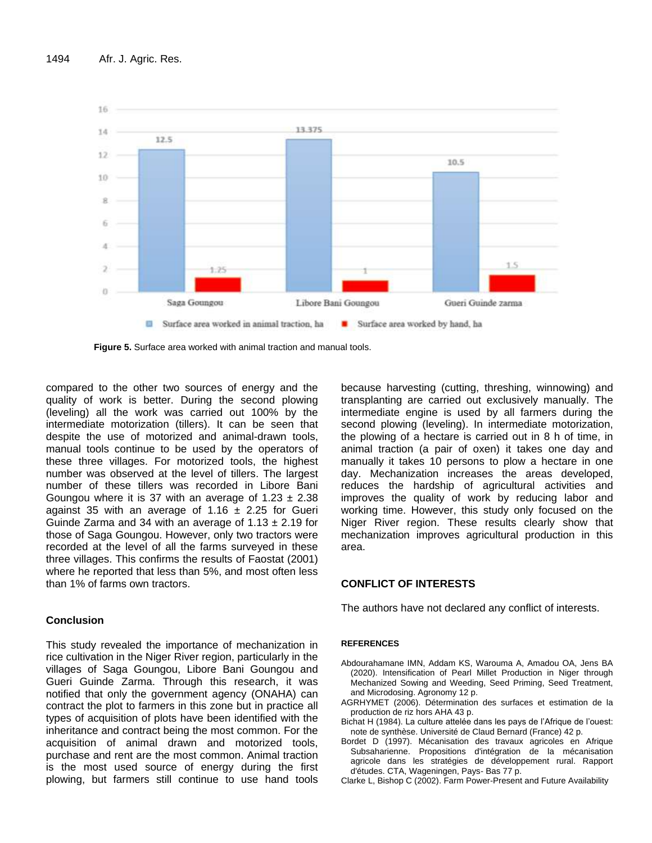

**Figure 5.** Surface area worked with animal traction and manual tools.

compared to the other two sources of energy and the quality of work is better. During the second plowing (leveling) all the work was carried out 100% by the intermediate motorization (tillers). It can be seen that despite the use of motorized and animal-drawn tools, manual tools continue to be used by the operators of these three villages. For motorized tools, the highest number was observed at the level of tillers. The largest number of these tillers was recorded in Libore Bani Goungou where it is 37 with an average of  $1.23 \pm 2.38$ against 35 with an average of 1.16  $\pm$  2.25 for Gueri Guinde Zarma and 34 with an average of  $1.13 \pm 2.19$  for those of Saga Goungou. However, only two tractors were recorded at the level of all the farms surveyed in these three villages. This confirms the results of Faostat (2001) where he reported that less than 5%, and most often less than 1% of farms own tractors.

# **Conclusion**

This study revealed the importance of mechanization in rice cultivation in the Niger River region, particularly in the villages of Saga Goungou, Libore Bani Goungou and Gueri Guinde Zarma. Through this research, it was notified that only the government agency (ONAHA) can contract the plot to farmers in this zone but in practice all types of acquisition of plots have been identified with the inheritance and contract being the most common. For the acquisition of animal drawn and motorized tools, purchase and rent are the most common. Animal traction is the most used source of energy during the first plowing, but farmers still continue to use hand tools because harvesting (cutting, threshing, winnowing) and transplanting are carried out exclusively manually. The intermediate engine is used by all farmers during the second plowing (leveling). In intermediate motorization, the plowing of a hectare is carried out in 8 h of time, in animal traction (a pair of oxen) it takes one day and manually it takes 10 persons to plow a hectare in one day. Mechanization increases the areas developed, reduces the hardship of agricultural activities and improves the quality of work by reducing labor and working time. However, this study only focused on the Niger River region. These results clearly show that mechanization improves agricultural production in this area.

# **CONFLICT OF INTERESTS**

The authors have not declared any conflict of interests.

## **REFERENCES**

- Abdourahamane IMN, Addam KS, Warouma A, Amadou OA, Jens BA (2020). Intensification of Pearl Millet Production in Niger through Mechanized Sowing and Weeding, Seed Priming, Seed Treatment, and Microdosing. Agronomy 12 p.
- AGRHYMET (2006). Détermination des surfaces et estimation de la production de riz hors AHA 43 p.
- Bichat H (1984). La culture attelée dans les pays de l'Afrique de l'ouest: note de synthèse. Université de Claud Bernard (France) 42 p.
- Bordet D (1997). Mécanisation des travaux agricoles en Afrique Subsaharienne. Propositions d'intégration de la mécanisation agricole dans les stratégies de développement rural. Rapport d'études. CTA, Wageningen, Pays- Bas 77 p.
- Clarke L, Bishop C (2002). Farm Power-Present and Future Availability